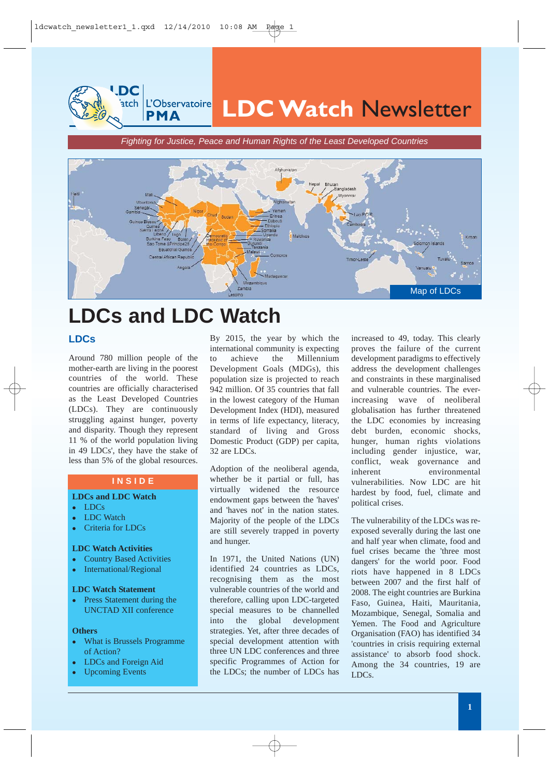**LDC Watch** Newsletter

*Fighting for Justice, Peace and Human Rights of the Least Developed Countries*



# **LDCs and LDC Watch**

## **LDCs**

Around 780 million people of the mother-earth are living in the poorest countries of the world. These countries are officially characterised as the Least Developed Countries (LDCs). They are continuously struggling against hunger, poverty and disparity. Though they represent 11 % of the world population living in 49 LDCs', they have the stake of less than 5% of the global resources.

**LDC** 

atch *L'Observatoire* **PMA** 

## **I N S I D E**

#### **LDCs and LDC Watch**

- <sup>z</sup> LDCs
- LDC Watch
- Criteria for LDCs

## **LDC Watch Activities**

- Country Based Activities
- International/Regional

#### **LDC Watch Statement**

• Press Statement during the UNCTAD XII conference

#### **Others**

- What is Brussels Programme of Action?
- LDCs and Foreign Aid
- **Upcoming Events**

By 2015, the year by which the international community is expecting to achieve the Millennium Development Goals (MDGs), this population size is projected to reach 942 million. Of 35 countries that fall in the lowest category of the Human Development Index (HDI), measured in terms of life expectancy, literacy, standard of living and Gross Domestic Product (GDP) per capita, 32 are LDCs.

Adoption of the neoliberal agenda, whether be it partial or full, has virtually widened the resource endowment gaps between the 'haves' and 'haves not' in the nation states. Majority of the people of the LDCs are still severely trapped in poverty and hunger.

In 1971, the United Nations (UN) identified 24 countries as LDCs, recognising them as the most vulnerable countries of the world and therefore, calling upon LDC-targeted special measures to be channelled into the global development strategies. Yet, after three decades of special development attention with three UN LDC conferences and three specific Programmes of Action for the LDCs; the number of LDCs has increased to 49, today. This clearly proves the failure of the current development paradigms to effectively address the development challenges and constraints in these marginalised and vulnerable countries. The everincreasing wave of neoliberal globalisation has further threatened the LDC economies by increasing debt burden, economic shocks, hunger, human rights violations including gender injustice, war, conflict, weak governance and inherent environmental vulnerabilities. Now LDC are hit hardest by food, fuel, climate and political crises.

The vulnerability of the LDCs was reexposed severally during the last one and half year when climate, food and fuel crises became the 'three most dangers' for the world poor. Food riots have happened in 8 LDCs between 2007 and the first half of 2008. The eight countries are Burkina Faso, Guinea, Haiti, Mauritania, Mozambique, Senegal, Somalia and Yemen. The Food and Agriculture Organisation (FAO) has identified 34 'countries in crisis requiring external assistance' to absorb food shock. Among the 34 countries, 19 are LDCs.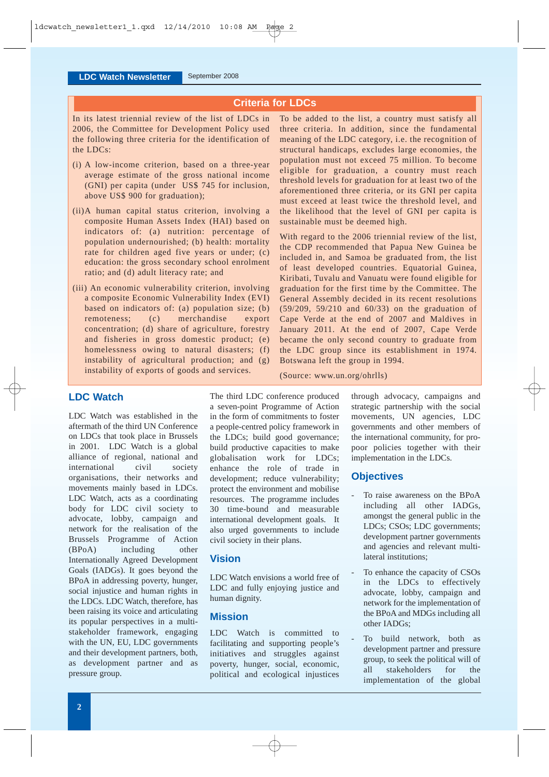## **Criteria for LDCs**

In its latest triennial review of the list of LDCs in 2006, the Committee for Development Policy used the following three criteria for the identification of the LDCs:

- (i) A low-income criterion, based on a three-year average estimate of the gross national income (GNI) per capita (under US\$ 745 for inclusion, above US\$ 900 for graduation);
- (ii)A human capital status criterion, involving a composite Human Assets Index (HAI) based on indicators of: (a) nutrition: percentage of population undernourished; (b) health: mortality rate for children aged five years or under; (c) education: the gross secondary school enrolment ratio; and (d) adult literacy rate; and
- (iii) An economic vulnerability criterion, involving a composite Economic Vulnerability Index (EVI) based on indicators of: (a) population size; (b) remoteness; (c) merchandise export concentration; (d) share of agriculture, forestry and fisheries in gross domestic product; (e) homelessness owing to natural disasters; (f) instability of agricultural production; and (g) instability of exports of goods and services.

To be added to the list, a country must satisfy all three criteria. In addition, since the fundamental meaning of the LDC category, i.e. the recognition of structural handicaps, excludes large economies, the population must not exceed 75 million. To become eligible for graduation, a country must reach threshold levels for graduation for at least two of the aforementioned three criteria, or its GNI per capita must exceed at least twice the threshold level, and the likelihood that the level of GNI per capita is sustainable must be deemed high.

With regard to the 2006 triennial review of the list, the CDP recommended that Papua New Guinea be included in, and Samoa be graduated from, the list of least developed countries. Equatorial Guinea, Kiribati, Tuvalu and Vanuatu were found eligible for graduation for the first time by the Committee. The General Assembly decided in its recent resolutions (59/209, 59/210 and 60/33) on the graduation of Cape Verde at the end of 2007 and Maldives in January 2011. At the end of 2007, Cape Verde became the only second country to graduate from the LDC group since its establishment in 1974. Botswana left the group in 1994.

(Source: www.un.org/ohrlls)

**LDC Watch**

LDC Watch was established in the aftermath of the third UN Conference on LDCs that took place in Brussels in 2001. LDC Watch is a global alliance of regional, national and international civil society organisations, their networks and movements mainly based in LDCs. LDC Watch, acts as a coordinating body for LDC civil society to advocate, lobby, campaign and network for the realisation of the Brussels Programme of Action (BPoA) including other Internationally Agreed Development Goals (IADGs). It goes beyond the BPoA in addressing poverty, hunger, social injustice and human rights in the LDCs. LDC Watch, therefore, has been raising its voice and articulating its popular perspectives in a multistakeholder framework, engaging with the UN, EU, LDC governments and their development partners, both, as development partner and as pressure group.

The third LDC conference produced a seven-point Programme of Action in the form of commitments to foster a people-centred policy framework in the LDCs; build good governance; build productive capacities to make globalisation work for LDCs; enhance the role of trade in development; reduce vulnerability; protect the environment and mobilise resources. The programme includes 30 time-bound and measurable international development goals. It also urged governments to include civil society in their plans.

## **Vision**

LDC Watch envisions a world free of LDC and fully enjoying justice and human dignity.

## **Mission**

LDC Watch is committed to facilitating and supporting people's initiatives and struggles against poverty, hunger, social, economic, political and ecological injustices through advocacy, campaigns and strategic partnership with the social movements, UN agencies, LDC governments and other members of the international community, for propoor policies together with their implementation in the LDCs.

## **Objectives**

- To raise awareness on the BPoA including all other IADGs, amongst the general public in the LDCs; CSOs; LDC governments; development partner governments and agencies and relevant multilateral institutions;
- To enhance the capacity of CSOs in the LDCs to effectively advocate, lobby, campaign and network for the implementation of the BPoA and MDGs including all other IADGs;
- To build network, both as development partner and pressure group, to seek the political will of all stakeholders for the implementation of the global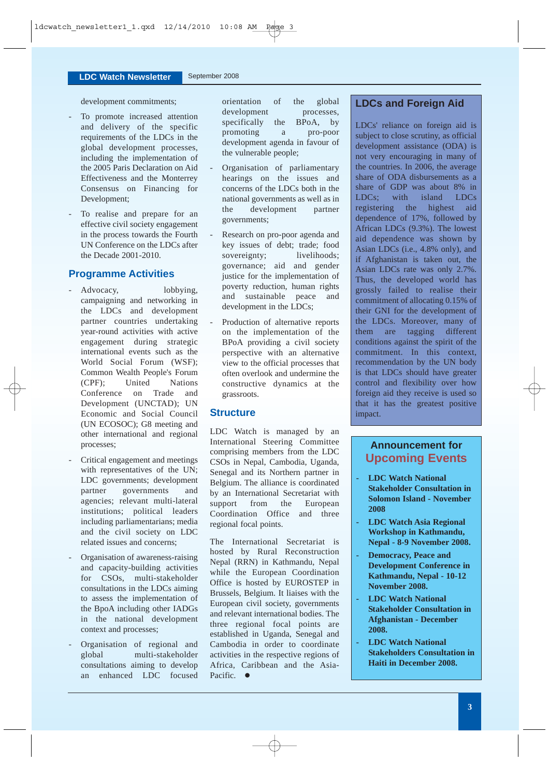development commitments;

- To promote increased attention and delivery of the specific requirements of the LDCs in the global development processes, including the implementation of the 2005 Paris Declaration on Aid Effectiveness and the Monterrey Consensus on Financing for Development;
- To realise and prepare for an effective civil society engagement in the process towards the Fourth UN Conference on the LDCs after the Decade 2001-2010.

## **Programme Activities**

- Advocacy, lobbying, campaigning and networking in the LDCs and development partner countries undertaking year-round activities with active engagement during strategic international events such as the World Social Forum (WSF); Common Wealth People's Forum (CPF); United Nations Conference on Trade and Development (UNCTAD); UN Economic and Social Council (UN ECOSOC); G8 meeting and other international and regional processes;
- Critical engagement and meetings with representatives of the UN; LDC governments; development partner governments and agencies; relevant multi-lateral institutions; political leaders including parliamentarians; media and the civil society on LDC related issues and concerns;
- Organisation of awareness-raising and capacity-building activities for CSOs, multi-stakeholder consultations in the LDCs aiming to assess the implementation of the BpoA including other IADGs in the national development context and processes;
- Organisation of regional and global multi-stakeholder consultations aiming to develop an enhanced LDC focused

orientation of the global development processes, specifically the BPoA, by promoting a pro-poor development agenda in favour of the vulnerable people;

- Organisation of parliamentary hearings on the issues and concerns of the LDCs both in the national governments as well as in the development partner governments;
- Research on pro-poor agenda and key issues of debt; trade; food sovereignty; livelihoods; governance; aid and gender justice for the implementation of poverty reduction, human rights and sustainable peace and development in the LDCs;
- Production of alternative reports on the implementation of the BPoA providing a civil society perspective with an alternative view to the official processes that often overlook and undermine the constructive dynamics at the grassroots.

## **Structure**

LDC Watch is managed by an International Steering Committee comprising members from the LDC CSOs in Nepal, Cambodia, Uganda, Senegal and its Northern partner in Belgium. The alliance is coordinated by an International Secretariat with support from the European Coordination Office and three regional focal points.

The International Secretariat is hosted by Rural Reconstruction Nepal (RRN) in Kathmandu, Nepal while the European Coordination Office is hosted by EUROSTEP in Brussels, Belgium. It liaises with the European civil society, governments and relevant international bodies. The three regional focal points are established in Uganda, Senegal and Cambodia in order to coordinate activities in the respective regions of Africa, Caribbean and the Asia-Pacific.  $\bullet$ 

## **LDCs and Foreign Aid**

LDCs' reliance on foreign aid is subject to close scrutiny, as official development assistance (ODA) is not very encouraging in many of the countries. In 2006, the average share of ODA disbursements as a share of GDP was about 8% in LDCs; with island LDCs registering the highest aid dependence of 17%, followed by African LDCs (9.3%). The lowest aid dependence was shown by Asian LDCs (i.e., 4.8% only), and if Afghanistan is taken out, the Asian LDCs rate was only 2.7%. Thus, the developed world has grossly failed to realise their commitment of allocating 0.15% of their GNI for the development of the LDCs. Moreover, many of them are tagging different conditions against the spirit of the commitment. In this context, recommendation by the UN body is that LDCs should have greater control and flexibility over how foreign aid they receive is used so that it has the greatest positive impact.

# **Announcement for Upcoming Events**

- **LDC Watch National Stakeholder Consultation in Solomon Island - November 2008**
- **LDC Watch Asia Regional Workshop in Kathmandu, Nepal - 8-9 November 2008.**
- **Democracy, Peace and Development Conference in Kathmandu, Nepal - 10-12 November 2008.**
- **LDC Watch National Stakeholder Consultation in Afghanistan - December 2008.**
- **LDC Watch National Stakeholders Consultation in Haiti in December 2008.**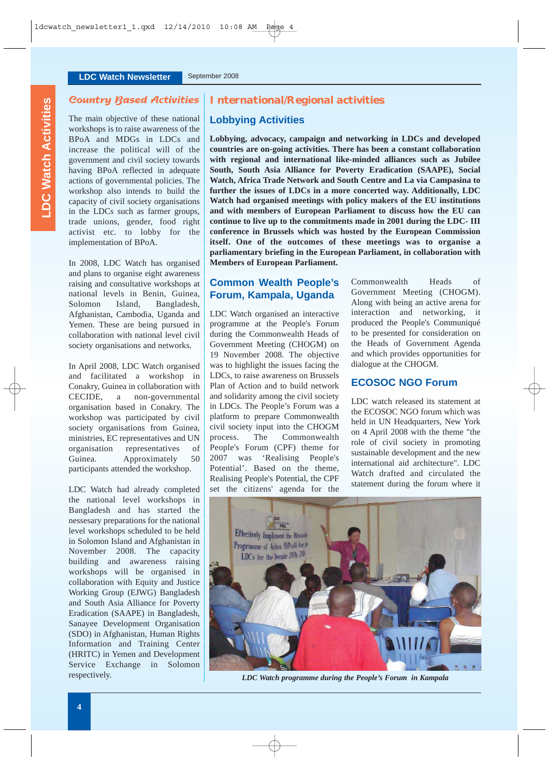## Country Based Activities

The main objective of these national workshops is to raise awareness of the BPoA and MDGs in LDCs and increase the political will of the government and civil society towards having BPoA reflected in adequate actions of governmental policies. The workshop also intends to build the capacity of civil society organisations in the LDCs such as farmer groups, trade unions, gender, food right activist etc. to lobby for the implementation of BPoA.

In 2008, LDC Watch has organised and plans to organise eight awareness raising and consultative workshops at national levels in Benin, Guinea, Solomon Island, Bangladesh, Afghanistan, Cambodia, Uganda and Yemen. These are being pursued in collaboration with national level civil society organisations and networks.

In April 2008, LDC Watch organised and facilitated a workshop in Conakry, Guinea in collaboration with CECIDE, a non-governmental organisation based in Conakry. The workshop was participated by civil society organisations from Guinea, ministries, EC representatives and UN organisation representatives of Guinea. Approximately 50 participants attended the workshop.

LDC Watch had already completed the national level workshops in Bangladesh and has started the nessesary preparations for the national level workshops scheduled to be held in Solomon Island and Afghanistan in November 2008. The capacity building and awareness raising workshops will be organised in collaboration with Equity and Justice Working Group (EJWG) Bangladesh and South Asia Alliance for Poverty Eradication (SAAPE) in Bangladesh, Sanayee Development Organisation (SDO) in Afghanistan, Human Rights Information and Training Center (HRITC) in Yemen and Development Service Exchange in Solomon respectively.

## **International/Regional activities**

## **Lobbying Activities**

**Lobbying, advocacy, campaign and networking in LDCs and developed countries are on-going activities. There has been a constant collaboration with regional and international like-minded alliances such as Jubilee South, South Asia Alliance for Poverty Eradication (SAAPE), Social Watch, Africa Trade Network and South Centre and La via Campasina to further the issues of LDCs in a more concerted way. Additionally, LDC Watch had organised meetings with policy makers of the EU institutions and with members of European Parliament to discuss how the EU can continue to live up to the commitments made in 2001 during the LDC- III conference in Brussels which was hosted by the European Commission itself. One of the outcomes of these meetings was to organise a parliamentary briefing in the European Parliament, in collaboration with Members of European Parliament.**

## **Common Wealth People's Forum, Kampala, Uganda**

LDC Watch organised an interactive programme at the People's Forum during the Commonwealth Heads of Government Meeting (CHOGM) on 19 November 2008. The objective was to highlight the issues facing the LDCs, to raise awareness on Brussels Plan of Action and to build network and solidarity among the civil society in LDCs. The People's Forum was a platform to prepare Commonwealth civil society input into the CHOGM process. The Commonwealth People's Forum (CPF) theme for 2007 was 'Realising People's Potential'. Based on the theme, Realising People's Potential, the CPF set the citizens' agenda for the Commonwealth Heads of Government Meeting (CHOGM). Along with being an active arena for interaction and networking, it produced the People's Communiqué to be presented for consideration on the Heads of Government Agenda and which provides opportunities for dialogue at the CHOGM.

## **ECOSOC NGO Forum**

LDC watch released its statement at the ECOSOC NGO forum which was held in UN Headquarters, New York on 4 April 2008 with the theme "the role of civil society in promoting sustainable development and the new international aid architecture". LDC Watch drafted and circulated the statement during the forum where it



*LDC Watch programme during the People's Forum in Kampala*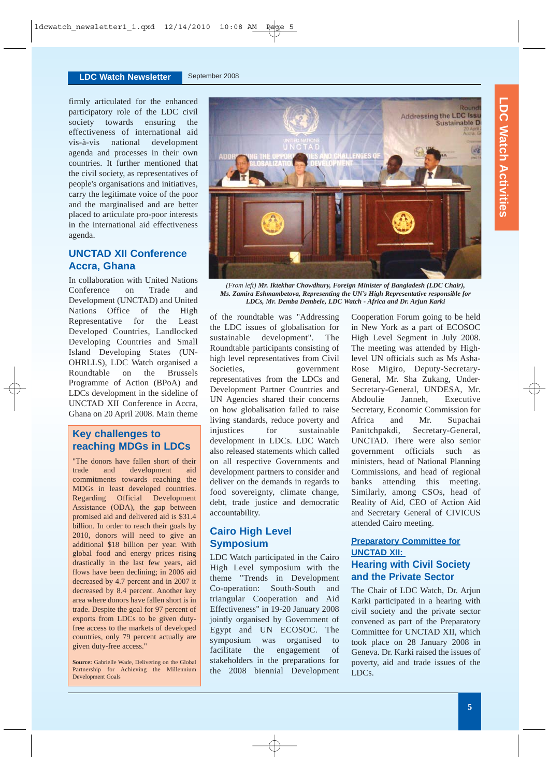firmly articulated for the enhanced participatory role of the LDC civil society towards ensuring the effectiveness of international aid vis-à-vis national development agenda and processes in their own countries. It further mentioned that the civil society, as representatives of people's organisations and initiatives, carry the legitimate voice of the poor and the marginalised and are better placed to articulate pro-poor interests in the international aid effectiveness agenda.

# **UNCTAD XII Conference Accra, Ghana**

In collaboration with United Nations Conference on Trade and Development (UNCTAD) and United Nations Office of the High Representative for the Least Developed Countries, Landlocked Developing Countries and Small Island Developing States (UN-OHRLLS), LDC Watch organised a Roundtable on the Brussels Programme of Action (BPoA) and LDCs development in the sideline of UNCTAD XII Conference in Accra, Ghana on 20 April 2008. Main theme

# **Key challenges to reaching MDGs in LDCs**

"The donors have fallen short of their trade and development aid commitments towards reaching the MDGs in least developed countries. Regarding Official Development Assistance (ODA), the gap between promised aid and delivered aid is \$31.4 billion. In order to reach their goals by 2010, donors will need to give an additional \$18 billion per year. With global food and energy prices rising drastically in the last few years, aid flows have been declining; in 2006 aid decreased by 4.7 percent and in 2007 it decreased by 8.4 percent. Another key area where donors have fallen short is in trade. Despite the goal for 97 percent of exports from LDCs to be given dutyfree access to the markets of developed countries, only 79 percent actually are given duty-free access."

**Source:** Gabrielle Wade, Delivering on the Global Partnership for Achieving the Millennium Development Goals



*(From left) Mr. Iktekhar Chowdhury, Foreign Minister of Bangladesh (LDC Chair), Ms. Zamira Eshmambetova, Representing the UN's High Representative responsible for LDCs, Mr. Demba Dembele, LDC Watch - Africa and Dr. Arjun Karki*

of the roundtable was "Addressing the LDC issues of globalisation for sustainable development". The Roundtable participants consisting of high level representatives from Civil Societies, government representatives from the LDCs and Development Partner Countries and UN Agencies shared their concerns on how globalisation failed to raise living standards, reduce poverty and injustices for sustainable development in LDCs. LDC Watch also released statements which called on all respective Governments and development partners to consider and deliver on the demands in regards to food sovereignty, climate change, debt, trade justice and democratic accountability.

# **Cairo High Level Symposium**

LDC Watch participated in the Cairo High Level symposium with the theme "Trends in Development Co-operation: South-South and triangular Cooperation and Aid Effectiveness" in 19-20 January 2008 jointly organised by Government of Egypt and UN ECOSOC. The symposium was organised to facilitate the engagement of stakeholders in the preparations for the 2008 biennial Development Cooperation Forum going to be held in New York as a part of ECOSOC High Level Segment in July 2008. The meeting was attended by Highlevel UN officials such as Ms Asha-Rose Migiro, Deputy-Secretary-General, Mr. Sha Zukang, Under-Secretary-General, UNDESA, Mr. Abdoulie Janneh, Executive Secretary, Economic Commission for Africa and Mr. Supachai Panitchpakdi, Secretary-General, UNCTAD. There were also senior government officials such as ministers, head of National Planning Commissions, and head of regional banks attending this meeting. Similarly, among CSOs, head of Reality of Aid, CEO of Action Aid and Secretary General of CIVICUS attended Cairo meeting.

## **Preparatory Committee for UNCTAD XII: Hearing with Civil Society and the Private Sector**

The Chair of LDC Watch, Dr. Arjun Karki participated in a hearing with civil society and the private sector convened as part of the Preparatory Committee for UNCTAD XII, which took place on 28 January 2008 in Geneva. Dr. Karki raised the issues of poverty, aid and trade issues of the LDCs.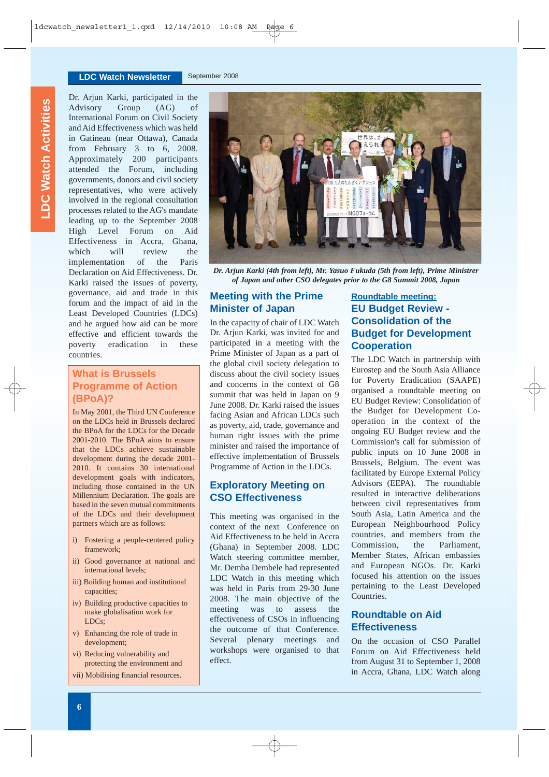#### **LDC Watch Newsletter** September 2008

Dr. Arjun Karki, participated in the Advisory Group (AG) of International Forum on Civil Society and Aid Effectiveness which was held in Gatineau (near Ottawa), Canada from February 3 to 6, 2008. Approximately 200 participants attended the Forum, including governments, donors and civil society representatives, who were actively involved in the regional consultation processes related to the AG's mandate leading up to the September 2008 High Level Forum on Aid Effectiveness in Accra, Ghana, which will review the implementation of the Paris Declaration on Aid Effectiveness. Dr. Karki raised the issues of poverty, governance, aid and trade in this forum and the impact of aid in the Least Developed Countries (LDCs) and he argued how aid can be more effective and efficient towards the poverty eradication in these countries.

# **What is Brussels Programme of Action (BPoA)?**

In May 2001, the Third UN Conference on the LDCs held in Brussels declared the BPoA for the LDCs for the Decade 2001-2010. The BPoA aims to ensure that the LDCs achieve sustainable development during the decade 2001- 2010. It contains 30 international development goals with indicators, including those contained in the UN Millennium Declaration. The goals are based in the seven mutual commitments of the LDCs and their development partners which are as follows:

- i) Fostering a people-centered policy framework;
- ii) Good governance at national and international levels;
- iii) Building human and institutional capacities;
- iv) Building productive capacities to make globalisation work for LDCs;
- v) Enhancing the role of trade in development;
- vi) Reducing vulnerability and protecting the environment and
- vii) Mobilising financial resources.



*Dr. Arjun Karki (4th from left), Mr. Yasuo Fukuda (5th from left), Prime Ministrer of Japan and other CSO delegates prior to the G8 Summit 2008, Japan*

# **Meeting with the Prime Minister of Japan**

In the capacity of chair of LDC Watch Dr. Arjun Karki, was invited for and participated in a meeting with the Prime Minister of Japan as a part of the global civil society delegation to discuss about the civil society issues and concerns in the context of G8 summit that was held in Japan on 9 June 2008. Dr. Karki raised the issues facing Asian and African LDCs such as poverty, aid, trade, governance and human right issues with the prime minister and raised the importance of effective implementation of Brussels Programme of Action in the LDCs.

## **Exploratory Meeting on CSO Effectiveness**

This meeting was organised in the context of the next Conference on Aid Effectiveness to be held in Accra (Ghana) in September 2008. LDC Watch steering committee member, Mr. Demba Dembele had represented LDC Watch in this meeting which was held in Paris from 29-30 June 2008. The main objective of the meeting was to assess the effectiveness of CSOs in influencing the outcome of that Conference. Several plenary meetings and workshops were organised to that effect.

# **Roundtable meeting: EU Budget Review - Consolidation of the Budget for Development Cooperation**

The LDC Watch in partnership with Eurostep and the South Asia Alliance for Poverty Eradication (SAAPE) organised a roundtable meeting on EU Budget Review: Consolidation of the Budget for Development Cooperation in the context of the ongoing EU Budget review and the Commission's call for submission of public inputs on 10 June 2008 in Brussels, Belgium. The event was facilitated by Europe External Policy Advisors (EEPA). The roundtable resulted in interactive deliberations between civil representatives from South Asia, Latin America and the European Neighbourhood Policy countries, and members from the Commission, the Parliament, Member States, African embassies and European NGOs. Dr. Karki focused his attention on the issues pertaining to the Least Developed Countries.

# **Roundtable on Aid Effectiveness**

On the occasion of CSO Parallel Forum on Aid Effectiveness held from August 31 to September 1, 2008 in Accra, Ghana, LDC Watch along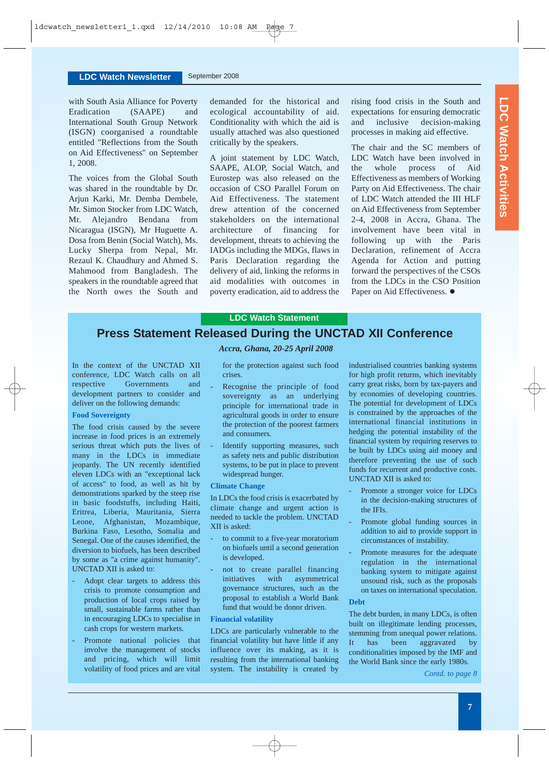with South Asia Alliance for Poverty Eradication (SAAPE) and International South Group Network (ISGN) coorganised a roundtable entitled "Reflections from the South on Aid Effectiveness" on September 1, 2008.

The voices from the Global South was shared in the roundtable by Dr. Arjun Karki, Mr. Demba Dembele, Mr. Simon Stocker from LDC Watch, Mr. Alejandro Bendana from Nicaragua (ISGN), Mr Huguette A. Dosa from Benin (Social Watch), Ms. Lucky Sherpa from Nepal, Mr. Rezaul K. Chaudhury and Ahmed S. Mahmood from Bangladesh. The speakers in the roundtable agreed that the North owes the South and demanded for the historical and ecological accountability of aid. Conditionality with which the aid is usually attached was also questioned critically by the speakers.

A joint statement by LDC Watch, SAAPE, ALOP, Social Watch, and Eurostep was also released on the occasion of CSO Parallel Forum on Aid Effectiveness. The statement drew attention of the concerned stakeholders on the international architecture of financing for development, threats to achieving the IADGs including the MDGs, flaws in Paris Declaration regarding the delivery of aid, linking the reforms in aid modalities with outcomes in poverty eradication, aid to address the

rising food crisis in the South and expectations for ensuring democratic and inclusive decision-making processes in making aid effective.

The chair and the SC members of LDC Watch have been involved in the whole process of Aid Effectiveness as members of Working Party on Aid Effectiveness. The chair of LDC Watch attended the III HLF on Aid Effectiveness from September 2-4, 2008 in Accra, Ghana. The involvement have been vital in following up with the Paris Declaration, refinement of Accra Agenda for Action and putting forward the perspectives of the CSOs from the LDCs in the CSO Position Paper on Aid Effectiveness.  $\bullet$ 

#### **LDC Watch Statement**

# **Press Statement Released During the UNCTAD XII Conference**

In the context of the UNCTAD XII conference, LDC Watch calls on all respective Governments and development partners to consider and deliver on the following demands:

#### **Food Sovereignty**

The food crisis caused by the severe increase in food prices is an extremely serious threat which puts the lives of many in the LDCs in immediate jeopardy. The UN recently identified eleven LDCs with an "exceptional lack of access" to food, as well as hit by demonstrations sparked by the steep rise in basic foodstuffs, including Haiti, Eritrea, Liberia, Mauritania, Sierra Leone, Afghanistan, Mozambique, Burkina Faso, Lesotho, Somalia and Senegal. One of the causes identified, the diversion to biofuels, has been described by some as "a crime against humanity". UNCTAD XII is asked to:

- Adopt clear targets to address this crisis to promote consumption and production of local crops raised by small, sustainable farms rather than in encouraging LDCs to specialise in cash crops for western markets.
- Promote national policies that involve the management of stocks and pricing, which will limit volatility of food prices and are vital

#### *Accra, Ghana, 20-25 April 2008*

for the protection against such food crises.

- Recognise the principle of food sovereignty as an underlying principle for international trade in agricultural goods in order to ensure the protection of the poorest farmers and consumers.
- Identify supporting measures, such as safety nets and public distribution systems, to be put in place to prevent widespread hunger.

#### **Climate Change**

In LDCs the food crisis is exacerbated by climate change and urgent action is needed to tackle the problem. UNCTAD XII is asked:

- to commit to a five-year moratorium on biofuels until a second generation is developed.
- not to create parallel financing initiatives with asymmetrical governance structures, such as the proposal to establish a World Bank fund that would be donor driven.

#### **Financial volatility**

LDCs are particularly vulnerable to the financial volatility but have little if any influence over its making, as it is resulting from the international banking system. The instability is created by industrialised countries banking systems for high profit returns, which inevitably carry great risks, born by tax-payers and by economies of developing countries. The potential for development of LDCs is constrained by the approaches of the international financial institutions in hedging the potential instability of the financial system by requiring reserves to be built by LDCs using aid money and therefore preventing the use of such funds for recurrent and productive costs. UNCTAD XII is asked to:

- Promote a stronger voice for LDCs in the decision-making structures of the IFIs.
- Promote global funding sources in addition to aid to provide support in circumstances of instability.
- Promote measures for the adequate regulation in the international banking system to mitigate against unsound risk, such as the proposals on taxes on international speculation.

## **Debt**

The debt burden, in many LDCs, is often built on illegitimate lending processes, stemming from unequal power relations. It has been aggravated by conditionalities imposed by the IMF and the World Bank since the early 1980s.

*Contd. to page 8*